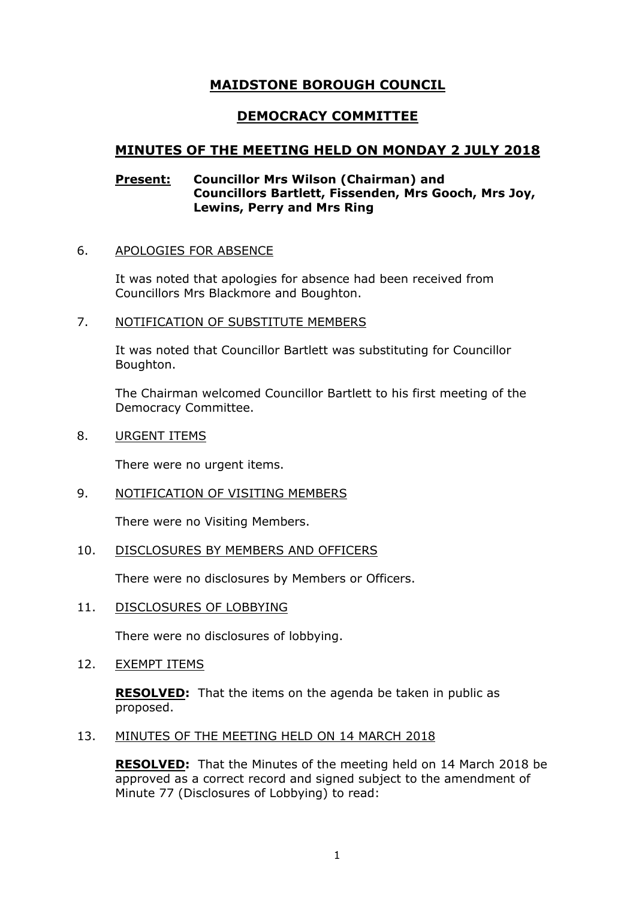# **MAIDSTONE BOROUGH COUNCIL**

# **DEMOCRACY COMMITTEE**

# **MINUTES OF THE MEETING HELD ON MONDAY 2 JULY 2018**

### **Present: Councillor Mrs Wilson (Chairman) and Councillors Bartlett, Fissenden, Mrs Gooch, Mrs Joy, Lewins, Perry and Mrs Ring**

# 6. APOLOGIES FOR ABSENCE

It was noted that apologies for absence had been received from Councillors Mrs Blackmore and Boughton.

#### 7. NOTIFICATION OF SUBSTITUTE MEMBERS

It was noted that Councillor Bartlett was substituting for Councillor Boughton.

The Chairman welcomed Councillor Bartlett to his first meeting of the Democracy Committee.

8. URGENT ITEMS

There were no urgent items.

9. NOTIFICATION OF VISITING MEMBERS

There were no Visiting Members.

# 10. DISCLOSURES BY MEMBERS AND OFFICERS

There were no disclosures by Members or Officers.

11. DISCLOSURES OF LOBBYING

There were no disclosures of lobbying.

12. EXEMPT ITEMS

**RESOLVED:** That the items on the agenda be taken in public as proposed.

### 13. MINUTES OF THE MEETING HELD ON 14 MARCH 2018

**RESOLVED:** That the Minutes of the meeting held on 14 March 2018 be approved as a correct record and signed subject to the amendment of Minute 77 (Disclosures of Lobbying) to read: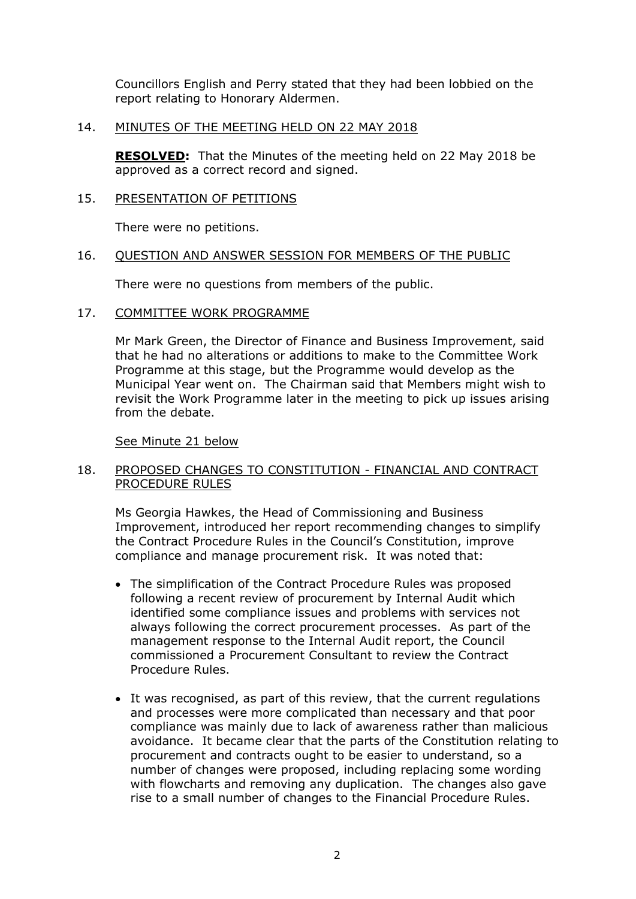Councillors English and Perry stated that they had been lobbied on the report relating to Honorary Aldermen.

### 14. MINUTES OF THE MEETING HELD ON 22 MAY 2018

**RESOLVED:** That the Minutes of the meeting held on 22 May 2018 be approved as a correct record and signed.

### 15. PRESENTATION OF PETITIONS

There were no petitions.

#### 16. QUESTION AND ANSWER SESSION FOR MEMBERS OF THE PUBLIC

There were no questions from members of the public.

### 17. COMMITTEE WORK PROGRAMME

Mr Mark Green, the Director of Finance and Business Improvement, said that he had no alterations or additions to make to the Committee Work Programme at this stage, but the Programme would develop as the Municipal Year went on. The Chairman said that Members might wish to revisit the Work Programme later in the meeting to pick up issues arising from the debate.

#### See Minute 21 below

### 18. PROPOSED CHANGES TO CONSTITUTION - FINANCIAL AND CONTRACT PROCEDURE RULES

Ms Georgia Hawkes, the Head of Commissioning and Business Improvement, introduced her report recommending changes to simplify the Contract Procedure Rules in the Council's Constitution, improve compliance and manage procurement risk. It was noted that:

- The simplification of the Contract Procedure Rules was proposed following a recent review of procurement by Internal Audit which identified some compliance issues and problems with services not always following the correct procurement processes. As part of the management response to the Internal Audit report, the Council commissioned a Procurement Consultant to review the Contract Procedure Rules.
- It was recognised, as part of this review, that the current regulations and processes were more complicated than necessary and that poor compliance was mainly due to lack of awareness rather than malicious avoidance. It became clear that the parts of the Constitution relating to procurement and contracts ought to be easier to understand, so a number of changes were proposed, including replacing some wording with flowcharts and removing any duplication. The changes also gave rise to a small number of changes to the Financial Procedure Rules.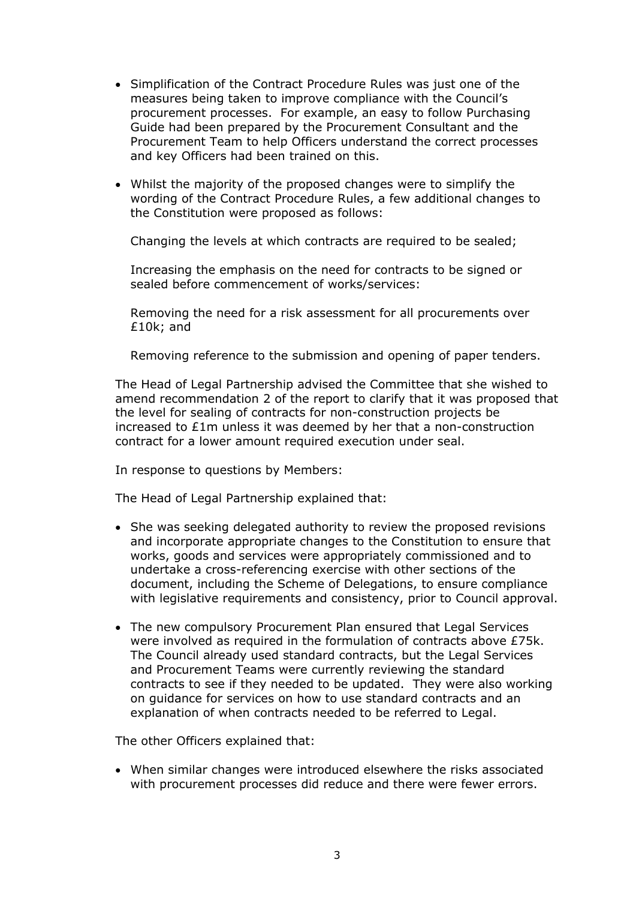- Simplification of the Contract Procedure Rules was just one of the measures being taken to improve compliance with the Council's procurement processes. For example, an easy to follow Purchasing Guide had been prepared by the Procurement Consultant and the Procurement Team to help Officers understand the correct processes and key Officers had been trained on this.
- Whilst the majority of the proposed changes were to simplify the wording of the Contract Procedure Rules, a few additional changes to the Constitution were proposed as follows:

Changing the levels at which contracts are required to be sealed;

Increasing the emphasis on the need for contracts to be signed or sealed before commencement of works/services:

Removing the need for a risk assessment for all procurements over £10k; and

Removing reference to the submission and opening of paper tenders.

The Head of Legal Partnership advised the Committee that she wished to amend recommendation 2 of the report to clarify that it was proposed that the level for sealing of contracts for non-construction projects be increased to £1m unless it was deemed by her that a non-construction contract for a lower amount required execution under seal.

In response to questions by Members:

The Head of Legal Partnership explained that:

- She was seeking delegated authority to review the proposed revisions and incorporate appropriate changes to the Constitution to ensure that works, goods and services were appropriately commissioned and to undertake a cross-referencing exercise with other sections of the document, including the Scheme of Delegations, to ensure compliance with legislative requirements and consistency, prior to Council approval.
- The new compulsory Procurement Plan ensured that Legal Services were involved as required in the formulation of contracts above £75k. The Council already used standard contracts, but the Legal Services and Procurement Teams were currently reviewing the standard contracts to see if they needed to be updated. They were also working on guidance for services on how to use standard contracts and an explanation of when contracts needed to be referred to Legal.

The other Officers explained that:

 When similar changes were introduced elsewhere the risks associated with procurement processes did reduce and there were fewer errors.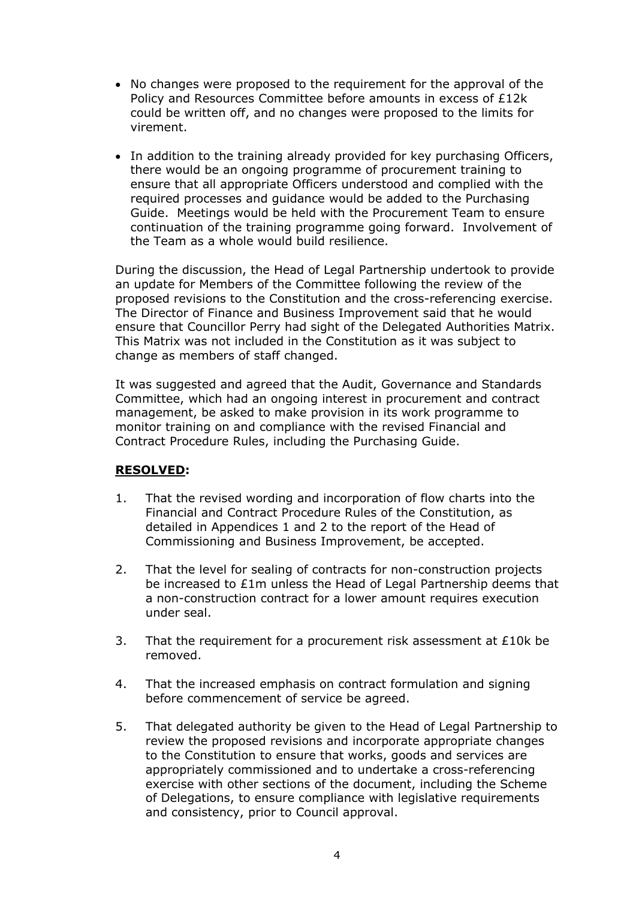- No changes were proposed to the requirement for the approval of the Policy and Resources Committee before amounts in excess of £12k could be written off, and no changes were proposed to the limits for virement.
- In addition to the training already provided for key purchasing Officers, there would be an ongoing programme of procurement training to ensure that all appropriate Officers understood and complied with the required processes and guidance would be added to the Purchasing Guide. Meetings would be held with the Procurement Team to ensure continuation of the training programme going forward. Involvement of the Team as a whole would build resilience.

During the discussion, the Head of Legal Partnership undertook to provide an update for Members of the Committee following the review of the proposed revisions to the Constitution and the cross-referencing exercise. The Director of Finance and Business Improvement said that he would ensure that Councillor Perry had sight of the Delegated Authorities Matrix. This Matrix was not included in the Constitution as it was subject to change as members of staff changed.

It was suggested and agreed that the Audit, Governance and Standards Committee, which had an ongoing interest in procurement and contract management, be asked to make provision in its work programme to monitor training on and compliance with the revised Financial and Contract Procedure Rules, including the Purchasing Guide.

# **RESOLVED:**

- 1. That the revised wording and incorporation of flow charts into the Financial and Contract Procedure Rules of the Constitution, as detailed in Appendices 1 and 2 to the report of the Head of Commissioning and Business Improvement, be accepted.
- 2. That the level for sealing of contracts for non-construction projects be increased to £1m unless the Head of Legal Partnership deems that a non-construction contract for a lower amount requires execution under seal.
- 3. That the requirement for a procurement risk assessment at £10k be removed.
- 4. That the increased emphasis on contract formulation and signing before commencement of service be agreed.
- 5. That delegated authority be given to the Head of Legal Partnership to review the proposed revisions and incorporate appropriate changes to the Constitution to ensure that works, goods and services are appropriately commissioned and to undertake a cross-referencing exercise with other sections of the document, including the Scheme of Delegations, to ensure compliance with legislative requirements and consistency, prior to Council approval.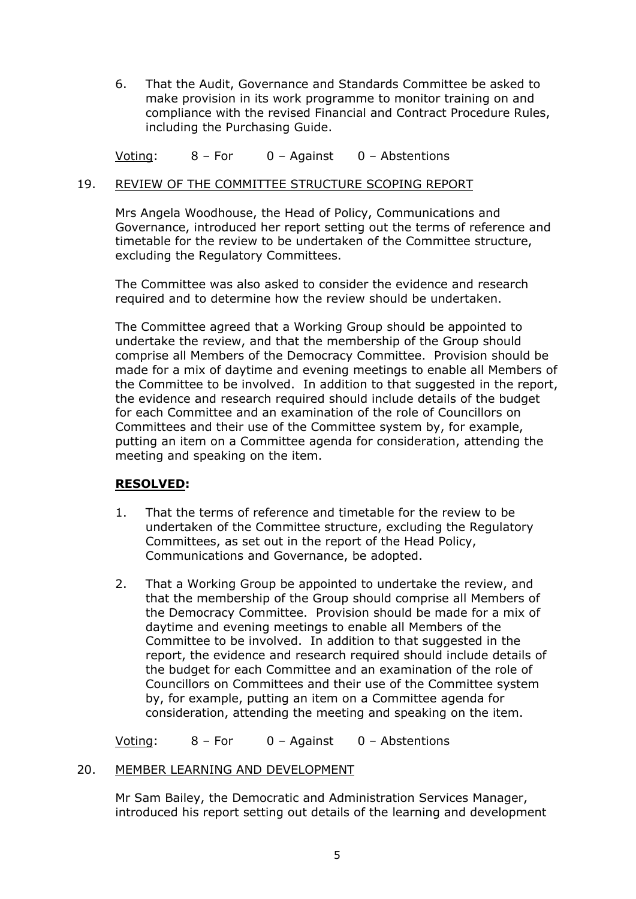6. That the Audit, Governance and Standards Committee be asked to make provision in its work programme to monitor training on and compliance with the revised Financial and Contract Procedure Rules, including the Purchasing Guide.

Voting: 8 – For 0 – Against 0 – Abstentions

#### 19. REVIEW OF THE COMMITTEE STRUCTURE SCOPING REPORT

Mrs Angela Woodhouse, the Head of Policy, Communications and Governance, introduced her report setting out the terms of reference and timetable for the review to be undertaken of the Committee structure, excluding the Regulatory Committees.

The Committee was also asked to consider the evidence and research required and to determine how the review should be undertaken.

The Committee agreed that a Working Group should be appointed to undertake the review, and that the membership of the Group should comprise all Members of the Democracy Committee. Provision should be made for a mix of daytime and evening meetings to enable all Members of the Committee to be involved. In addition to that suggested in the report, the evidence and research required should include details of the budget for each Committee and an examination of the role of Councillors on Committees and their use of the Committee system by, for example, putting an item on a Committee agenda for consideration, attending the meeting and speaking on the item.

# **RESOLVED:**

- 1. That the terms of reference and timetable for the review to be undertaken of the Committee structure, excluding the Regulatory Committees, as set out in the report of the Head Policy, Communications and Governance, be adopted.
- 2. That a Working Group be appointed to undertake the review, and that the membership of the Group should comprise all Members of the Democracy Committee. Provision should be made for a mix of daytime and evening meetings to enable all Members of the Committee to be involved. In addition to that suggested in the report, the evidence and research required should include details of the budget for each Committee and an examination of the role of Councillors on Committees and their use of the Committee system by, for example, putting an item on a Committee agenda for consideration, attending the meeting and speaking on the item.

Voting: 8 – For 0 – Against 0 – Abstentions

#### 20. MEMBER LEARNING AND DEVELOPMENT

Mr Sam Bailey, the Democratic and Administration Services Manager, introduced his report setting out details of the learning and development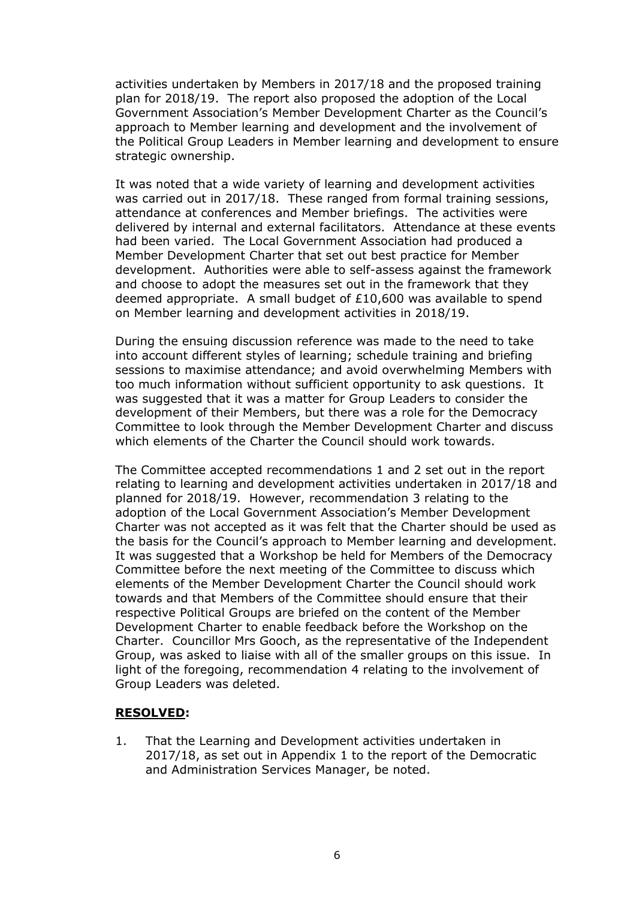activities undertaken by Members in 2017/18 and the proposed training plan for 2018/19. The report also proposed the adoption of the Local Government Association's Member Development Charter as the Council's approach to Member learning and development and the involvement of the Political Group Leaders in Member learning and development to ensure strategic ownership.

It was noted that a wide variety of learning and development activities was carried out in 2017/18. These ranged from formal training sessions, attendance at conferences and Member briefings. The activities were delivered by internal and external facilitators. Attendance at these events had been varied. The Local Government Association had produced a Member Development Charter that set out best practice for Member development. Authorities were able to self-assess against the framework and choose to adopt the measures set out in the framework that they deemed appropriate. A small budget of £10,600 was available to spend on Member learning and development activities in 2018/19.

During the ensuing discussion reference was made to the need to take into account different styles of learning; schedule training and briefing sessions to maximise attendance; and avoid overwhelming Members with too much information without sufficient opportunity to ask questions. It was suggested that it was a matter for Group Leaders to consider the development of their Members, but there was a role for the Democracy Committee to look through the Member Development Charter and discuss which elements of the Charter the Council should work towards.

The Committee accepted recommendations 1 and 2 set out in the report relating to learning and development activities undertaken in 2017/18 and planned for 2018/19. However, recommendation 3 relating to the adoption of the Local Government Association's Member Development Charter was not accepted as it was felt that the Charter should be used as the basis for the Council's approach to Member learning and development. It was suggested that a Workshop be held for Members of the Democracy Committee before the next meeting of the Committee to discuss which elements of the Member Development Charter the Council should work towards and that Members of the Committee should ensure that their respective Political Groups are briefed on the content of the Member Development Charter to enable feedback before the Workshop on the Charter. Councillor Mrs Gooch, as the representative of the Independent Group, was asked to liaise with all of the smaller groups on this issue. In light of the foregoing, recommendation 4 relating to the involvement of Group Leaders was deleted.

# **RESOLVED:**

1. That the Learning and Development activities undertaken in 2017/18, as set out in Appendix 1 to the report of the Democratic and Administration Services Manager, be noted.